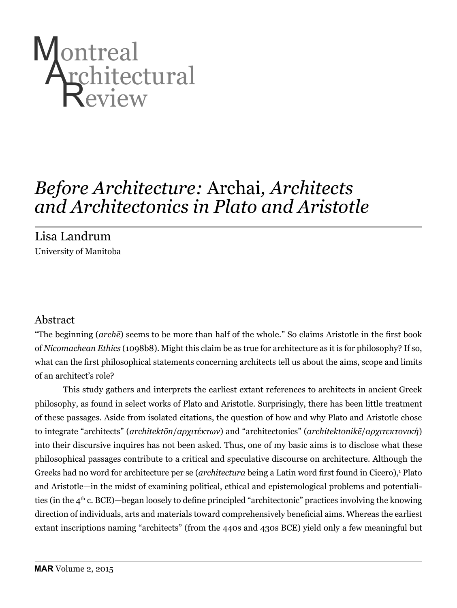

# *Before Architecture:* Archai*, Architects and Architectonics in Plato and Aristotle*

Lisa Landrum University of Manitoba

## Abstract

"The beginning (*archē*) seems to be more than half of the whole." So claims Aristotle in the first book of *Nicomachean Ethics* (1098b8). Might this claim be as true for architecture as it is for philosophy? If so, what can the first philosophical statements concerning architects tell us about the aims, scope and limits of an architect's role?

This study gathers and interprets the earliest extant references to architects in ancient Greek philosophy, as found in select works of Plato and Aristotle. Surprisingly, there has been little treatment of these passages. Aside from isolated citations, the question of how and why Plato and Aristotle chose to integrate "architects" (*architektōn*/*αρχιτέκτων*) and "architectonics" (*architektonikē*/*αρχιτεκτονική*) into their discursive inquires has not been asked. Thus, one of my basic aims is to disclose what these philosophical passages contribute to a critical and speculative discourse on architecture. Although the Greeks had no word for architecture per se (*architectura* being a Latin word first found in Cicero),<sup>1</sup> Plato and Aristotle—in the midst of examining political, ethical and epistemological problems and potentialities (in the 4<sup>th</sup> c. BCE)—began loosely to define principled "architectonic" practices involving the knowing direction of individuals, arts and materials toward comprehensively beneficial aims. Whereas the earliest extant inscriptions naming "architects" (from the 440s and 430s BCE) yield only a few meaningful but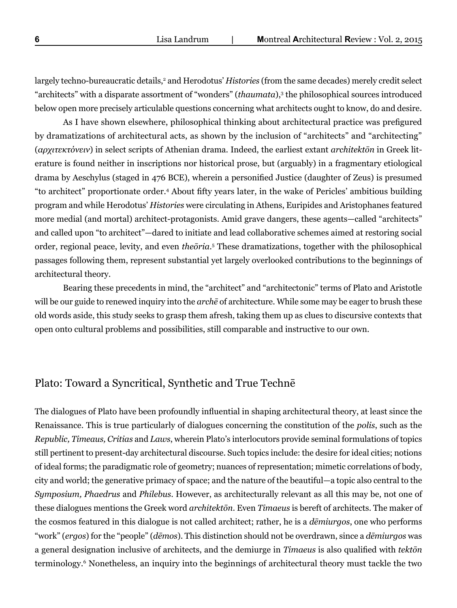largely techno-bureaucratic details,<sup>2</sup> and Herodotus' *Histories* (from the same decades) merely credit select "architects" with a disparate assortment of "wonders" (*thaumata*),<sup>3</sup> the philosophical sources introduced below open more precisely articulable questions concerning what architects ought to know, do and desire.

As I have shown elsewhere, philosophical thinking about architectural practice was prefigured by dramatizations of architectural acts, as shown by the inclusion of "architects" and "architecting" (*αρχιτεκτόνειν*) in select scripts of Athenian drama. Indeed, the earliest extant *architektōn* in Greek literature is found neither in inscriptions nor historical prose, but (arguably) in a fragmentary etiological drama by Aeschylus (staged in 476 BCE), wherein a personified Justice (daughter of Zeus) is presumed "to architect" proportionate order.4 About fifty years later, in the wake of Pericles' ambitious building program and while Herodotus' *Histories* were circulating in Athens, Euripides and Aristophanes featured more medial (and mortal) architect-protagonists. Amid grave dangers, these agents—called "architects" and called upon "to architect"—dared to initiate and lead collaborative schemes aimed at restoring social order, regional peace, levity, and even *theōria*. 5 These dramatizations, together with the philosophical passages following them, represent substantial yet largely overlooked contributions to the beginnings of architectural theory.

Bearing these precedents in mind, the "architect" and "architectonic" terms of Plato and Aristotle will be our guide to renewed inquiry into the *archē* of architecture. While some may be eager to brush these old words aside, this study seeks to grasp them afresh, taking them up as clues to discursive contexts that open onto cultural problems and possibilities, still comparable and instructive to our own.

#### Plato: Toward a Syncritical, Synthetic and True Technē

The dialogues of Plato have been profoundly influential in shaping architectural theory, at least since the Renaissance. This is true particularly of dialogues concerning the constitution of the *polis*, such as the *Republic, Timeaus, Critias* and *Laws*, wherein Plato's interlocutors provide seminal formulations of topics still pertinent to present-day architectural discourse. Such topics include: the desire for ideal cities; notions of ideal forms; the paradigmatic role of geometry; nuances of representation; mimetic correlations of body, city and world; the generative primacy of space; and the nature of the beautiful—a topic also central to the *Symposium, Phaedrus* and *Philebus*. However, as architecturally relevant as all this may be, not one of these dialogues mentions the Greek word *architektōn*. Even *Timaeus* is bereft of architects. The maker of the cosmos featured in this dialogue is not called architect; rather, he is a *dēmiurgos*, one who performs "work" (*ergos*) for the "people" (*dēmos*). This distinction should not be overdrawn, since a *dēmiurgos* was a general designation inclusive of architects, and the demiurge in *Timaeus* is also qualified with *tektōn* terminology.6 Nonetheless, an inquiry into the beginnings of architectural theory must tackle the two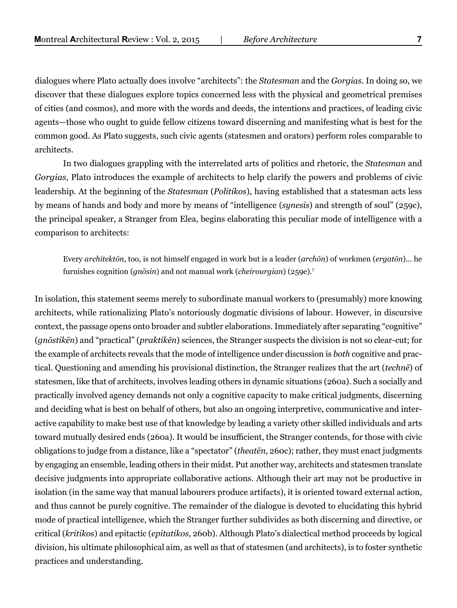dialogues where Plato actually does involve "architects": the *Statesman* and the *Gorgias*. In doing so, we discover that these dialogues explore topics concerned less with the physical and geometrical premises of cities (and cosmos), and more with the words and deeds, the intentions and practices, of leading civic agents—those who ought to guide fellow citizens toward discerning and manifesting what is best for the common good. As Plato suggests, such civic agents (statesmen and orators) perform roles comparable to architects.

In two dialogues grappling with the interrelated arts of politics and rhetoric, the *Statesman* and *Gorgias*, Plato introduces the example of architects to help clarify the powers and problems of civic leadership. At the beginning of the *Statesman* (*Politikos*), having established that a statesman acts less by means of hands and body and more by means of "intelligence (*synesis*) and strength of soul" (259c), the principal speaker, a Stranger from Elea, begins elaborating this peculiar mode of intelligence with a comparison to architects:

Every *architektōn*, too, is not himself engaged in work but is a leader (*archōn*) of workmen (*ergatōn*)… he furnishes cognition (*gnōsin*) and not manual work (*cheirourgian*) (259e).7

In isolation, this statement seems merely to subordinate manual workers to (presumably) more knowing architects, while rationalizing Plato's notoriously dogmatic divisions of labour. However, in discursive context, the passage opens onto broader and subtler elaborations. Immediately after separating "cognitive" (*gnōstikēn*) and "practical" (*praktikēn*) sciences, the Stranger suspects the division is not so clear-cut; for the example of architects reveals that the mode of intelligence under discussion is *both* cognitive and practical. Questioning and amending his provisional distinction, the Stranger realizes that the art (*technē*) of statesmen, like that of architects, involves leading others in dynamic situations (260a). Such a socially and practically involved agency demands not only a cognitive capacity to make critical judgments, discerning and deciding what is best on behalf of others, but also an ongoing interpretive, communicative and interactive capability to make best use of that knowledge by leading a variety other skilled individuals and arts toward mutually desired ends (260a). It would be insufficient, the Stranger contends, for those with civic obligations to judge from a distance, like a "spectator" (*theatēn,* 260c); rather, they must enact judgments by engaging an ensemble, leading others in their midst. Put another way, architects and statesmen translate decisive judgments into appropriate collaborative actions. Although their art may not be productive in isolation (in the same way that manual labourers produce artifacts), it is oriented toward external action, and thus cannot be purely cognitive. The remainder of the dialogue is devoted to elucidating this hybrid mode of practical intelligence, which the Stranger further subdivides as both discerning and directive, or critical (*kritikos*) and epitactic (*epitatikos,* 260b). Although Plato's dialectical method proceeds by logical division, his ultimate philosophical aim, as well as that of statesmen (and architects), is to foster synthetic practices and understanding.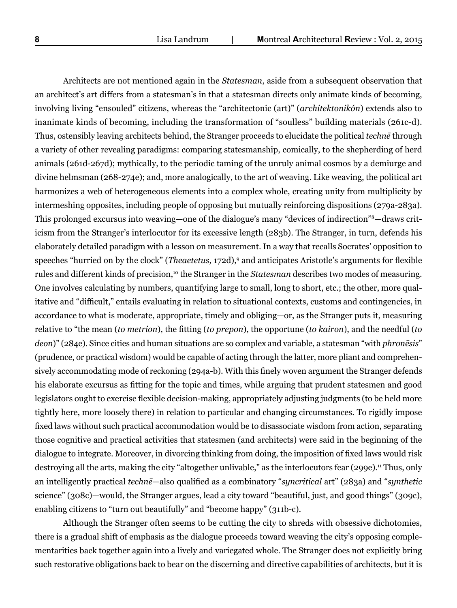Architects are not mentioned again in the *Statesman*, aside from a subsequent observation that an architect's art differs from a statesman's in that a statesman directs only animate kinds of becoming, involving living "ensouled" citizens, whereas the "architectonic (art)" (*architektonikón*) extends also to inanimate kinds of becoming, including the transformation of "soulless" building materials (261c-d). Thus, ostensibly leaving architects behind, the Stranger proceeds to elucidate the political *technē* through a variety of other revealing paradigms: comparing statesmanship, comically, to the shepherding of herd animals (261d-267d); mythically, to the periodic taming of the unruly animal cosmos by a demiurge and divine helmsman (268-274e); and, more analogically, to the art of weaving. Like weaving, the political art harmonizes a web of heterogeneous elements into a complex whole, creating unity from multiplicity by intermeshing opposites, including people of opposing but mutually reinforcing dispositions (279a-283a). This prolonged excursus into weaving—one of the dialogue's many "devices of indirection"8—draws criticism from the Stranger's interlocutor for its excessive length (283b). The Stranger, in turn, defends his elaborately detailed paradigm with a lesson on measurement. In a way that recalls Socrates' opposition to speeches "hurried on by the clock" (*Theaetetus,* 172d),9 and anticipates Aristotle's arguments for flexible rules and different kinds of precision,<sup>10</sup> the Stranger in the *Statesman* describes two modes of measuring. One involves calculating by numbers, quantifying large to small, long to short, etc.; the other, more qualitative and "difficult," entails evaluating in relation to situational contexts, customs and contingencies, in accordance to what is moderate, appropriate, timely and obliging—or, as the Stranger puts it, measuring relative to "the mean (*to metrion*), the fitting (*to prepon*), the opportune (*to kairon*), and the needful (*to deon*)" (284e). Since cities and human situations are so complex and variable, a statesman "with *phronēsis*" (prudence, or practical wisdom) would be capable of acting through the latter, more pliant and comprehensively accommodating mode of reckoning (294a-b). With this finely woven argument the Stranger defends his elaborate excursus as fitting for the topic and times, while arguing that prudent statesmen and good legislators ought to exercise flexible decision-making, appropriately adjusting judgments (to be held more tightly here, more loosely there) in relation to particular and changing circumstances. To rigidly impose fixed laws without such practical accommodation would be to disassociate wisdom from action, separating those cognitive and practical activities that statesmen (and architects) were said in the beginning of the dialogue to integrate. Moreover, in divorcing thinking from doing, the imposition of fixed laws would risk destroying all the arts, making the city "altogether unlivable," as the interlocutors fear (299e).11 Thus, only an intelligently practical *technē*—also qualified as a combinatory "*syncritical* art" (283a) and "*synthetic* science" (308c)—would, the Stranger argues, lead a city toward "beautiful, just, and good things" (309c), enabling citizens to "turn out beautifully" and "become happy" (311b-c).

Although the Stranger often seems to be cutting the city to shreds with obsessive dichotomies, there is a gradual shift of emphasis as the dialogue proceeds toward weaving the city's opposing complementarities back together again into a lively and variegated whole. The Stranger does not explicitly bring such restorative obligations back to bear on the discerning and directive capabilities of architects, but it is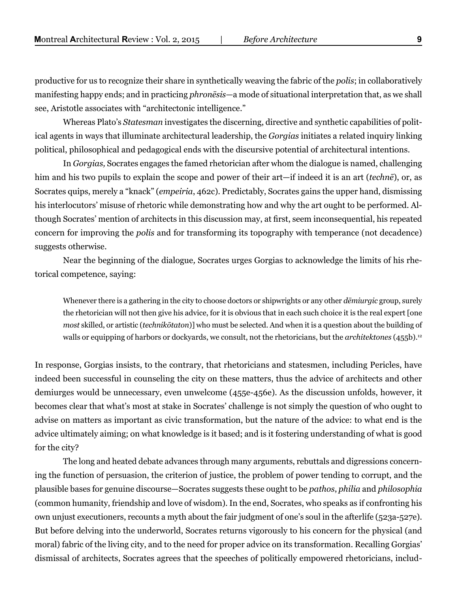productive for us to recognize their share in synthetically weaving the fabric of the *polis*; in collaboratively manifesting happy ends; and in practicing *phronēsis*—a mode of situational interpretation that, as we shall see, Aristotle associates with "architectonic intelligence."

Whereas Plato's *Statesman* investigates the discerning, directive and synthetic capabilities of political agents in ways that illuminate architectural leadership, the *Gorgias* initiates a related inquiry linking political, philosophical and pedagogical ends with the discursive potential of architectural intentions.

In *Gorgias,* Socrates engages the famed rhetorician after whom the dialogue is named, challenging him and his two pupils to explain the scope and power of their art—if indeed it is an art (*technē*), or, as Socrates quips, merely a "knack" (*empeiria*, 462c). Predictably, Socrates gains the upper hand, dismissing his interlocutors' misuse of rhetoric while demonstrating how and why the art ought to be performed. Although Socrates' mention of architects in this discussion may, at first, seem inconsequential, his repeated concern for improving the *polis* and for transforming its topography with temperance (not decadence) suggests otherwise.

Near the beginning of the dialogue*,* Socrates urges Gorgias to acknowledge the limits of his rhetorical competence, saying:

Whenever there is a gathering in the city to choose doctors or shipwrights or any other *dēmiurgic* group, surely the rhetorician will not then give his advice, for it is obvious that in each such choice it is the real expert [one *most* skilled, or artistic (*technikōtaton*)] who must be selected. And when it is a question about the building of walls or equipping of harbors or dockyards, we consult, not the rhetoricians, but the *architektones* (455b).<sup>12</sup>

In response, Gorgias insists, to the contrary, that rhetoricians and statesmen, including Pericles, have indeed been successful in counseling the city on these matters, thus the advice of architects and other demiurges would be unnecessary, even unwelcome (455e-456e). As the discussion unfolds, however, it becomes clear that what's most at stake in Socrates' challenge is not simply the question of who ought to advise on matters as important as civic transformation, but the nature of the advice: to what end is the advice ultimately aiming; on what knowledge is it based; and is it fostering understanding of what is good for the city?

The long and heated debate advances through many arguments, rebuttals and digressions concerning the function of persuasion, the criterion of justice, the problem of power tending to corrupt, and the plausible bases for genuine discourse—Socrates suggests these ought to be *pathos*, *philia* and *philosophia* (common humanity, friendship and love of wisdom). In the end, Socrates, who speaks as if confronting his own unjust executioners, recounts a myth about the fair judgment of one's soul in the afterlife (523a-527e). But before delving into the underworld, Socrates returns vigorously to his concern for the physical (and moral) fabric of the living city, and to the need for proper advice on its transformation. Recalling Gorgias' dismissal of architects, Socrates agrees that the speeches of politically empowered rhetoricians, includ-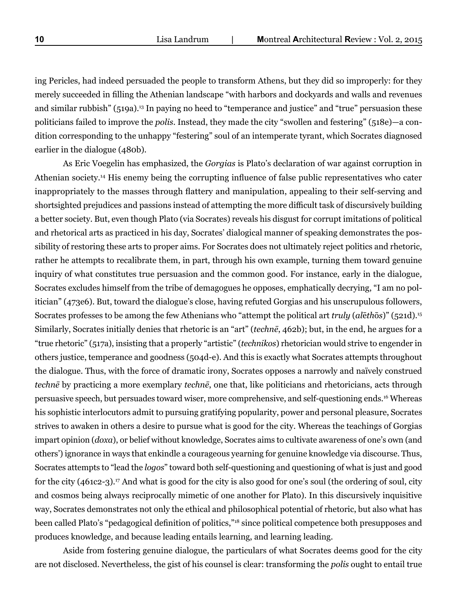ing Pericles, had indeed persuaded the people to transform Athens, but they did so improperly: for they merely succeeded in filling the Athenian landscape "with harbors and dockyards and walls and revenues and similar rubbish" (519a).<sup>13</sup> In paying no heed to "temperance and justice" and "true" persuasion these politicians failed to improve the *polis*. Instead, they made the city "swollen and festering" (518e)—a condition corresponding to the unhappy "festering" soul of an intemperate tyrant, which Socrates diagnosed earlier in the dialogue (480b).

As Eric Voegelin has emphasized, the *Gorgias* is Plato's declaration of war against corruption in Athenian society.<sup>14</sup> His enemy being the corrupting influence of false public representatives who cater inappropriately to the masses through flattery and manipulation, appealing to their self-serving and shortsighted prejudices and passions instead of attempting the more difficult task of discursively building a better society. But, even though Plato (via Socrates) reveals his disgust for corrupt imitations of political and rhetorical arts as practiced in his day, Socrates' dialogical manner of speaking demonstrates the possibility of restoring these arts to proper aims. For Socrates does not ultimately reject politics and rhetoric, rather he attempts to recalibrate them, in part, through his own example, turning them toward genuine inquiry of what constitutes true persuasion and the common good. For instance, early in the dialogue*,*  Socrates excludes himself from the tribe of demagogues he opposes, emphatically decrying, "I am no politician" (473e6). But, toward the dialogue's close, having refuted Gorgias and his unscrupulous followers, Socrates professes to be among the few Athenians who "attempt the political art *truly* (*al*ē*th*ō*s*)" (521d).15 Similarly, Socrates initially denies that rhetoric is an "art" (*technē*, 462b); but, in the end, he argues for a "true rhetoric" (517a), insisting that a properly "artistic" (*technikos*) rhetorician would strive to engender in others justice, temperance and goodness (504d-e). And this is exactly what Socrates attempts throughout the dialogue. Thus, with the force of dramatic irony, Socrates opposes a narrowly and naïvely construed *technē* by practicing a more exemplary *technē*, one that, like politicians and rhetoricians, acts through persuasive speech, but persuades toward wiser, more comprehensive, and self-questioning ends.16 Whereas his sophistic interlocutors admit to pursuing gratifying popularity, power and personal pleasure, Socrates strives to awaken in others a desire to pursue what is good for the city. Whereas the teachings of Gorgias impart opinion (*doxa*), or belief without knowledge, Socrates aims to cultivate awareness of one's own (and others') ignorance in ways that enkindle a courageous yearning for genuine knowledge via discourse. Thus, Socrates attempts to "lead the *logos*" toward both self-questioning and questioning of what is just and good for the city (461c2-3).<sup>17</sup> And what is good for the city is also good for one's soul (the ordering of soul, city and cosmos being always reciprocally mimetic of one another for Plato). In this discursively inquisitive way, Socrates demonstrates not only the ethical and philosophical potential of rhetoric, but also what has been called Plato's "pedagogical definition of politics,"18 since political competence both presupposes and produces knowledge, and because leading entails learning, and learning leading.

Aside from fostering genuine dialogue, the particulars of what Socrates deems good for the city are not disclosed. Nevertheless, the gist of his counsel is clear: transforming the *polis* ought to entail true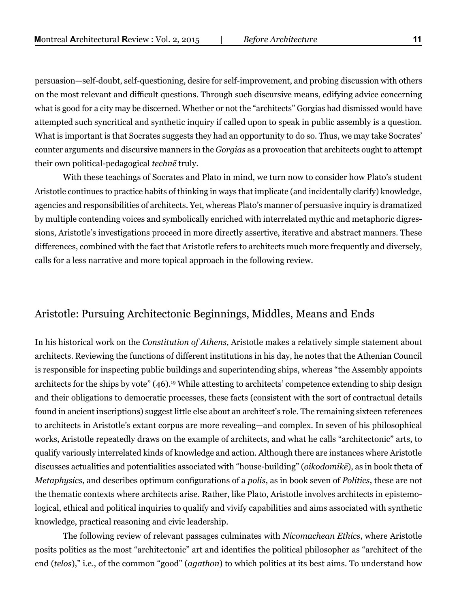persuasion—self-doubt, self-questioning, desire for self-improvement, and probing discussion with others on the most relevant and difficult questions. Through such discursive means, edifying advice concerning what is good for a city may be discerned. Whether or not the "architects" Gorgias had dismissed would have attempted such syncritical and synthetic inquiry if called upon to speak in public assembly is a question. What is important is that Socrates suggests they had an opportunity to do so. Thus, we may take Socrates' counter arguments and discursive manners in the *Gorgias* as a provocation that architects ought to attempt their own political-pedagogical *technē* truly.

With these teachings of Socrates and Plato in mind, we turn now to consider how Plato's student Aristotle continues to practice habits of thinking in ways that implicate (and incidentally clarify) knowledge, agencies and responsibilities of architects. Yet, whereas Plato's manner of persuasive inquiry is dramatized by multiple contending voices and symbolically enriched with interrelated mythic and metaphoric digressions, Aristotle's investigations proceed in more directly assertive, iterative and abstract manners. These differences, combined with the fact that Aristotle refers to architects much more frequently and diversely, calls for a less narrative and more topical approach in the following review.

#### Aristotle: Pursuing Architectonic Beginnings, Middles, Means and Ends

In his historical work on the *Constitution of Athens*, Aristotle makes a relatively simple statement about architects. Reviewing the functions of different institutions in his day, he notes that the Athenian Council is responsible for inspecting public buildings and superintending ships, whereas "the Assembly appoints architects for the ships by vote" (46).<sup>19</sup> While attesting to architects' competence extending to ship design and their obligations to democratic processes, these facts (consistent with the sort of contractual details found in ancient inscriptions) suggest little else about an architect's role. The remaining sixteen references to architects in Aristotle's extant corpus are more revealing—and complex. In seven of his philosophical works, Aristotle repeatedly draws on the example of architects, and what he calls "architectonic" arts, to qualify variously interrelated kinds of knowledge and action. Although there are instances where Aristotle discusses actualities and potentialities associated with "house-building" (*oikodomikē*), as in book theta of *Metaphysics*, and describes optimum configurations of a *polis*, as in book seven of *Politics*, these are not the thematic contexts where architects arise. Rather, like Plato, Aristotle involves architects in epistemological, ethical and political inquiries to qualify and vivify capabilities and aims associated with synthetic knowledge, practical reasoning and civic leadership.

The following review of relevant passages culminates with *Nicomachean Ethics*, where Aristotle posits politics as the most "architectonic" art and identifies the political philosopher as "architect of the end (*telos*)," i.e., of the common "good" (*agathon*) to which politics at its best aims. To understand how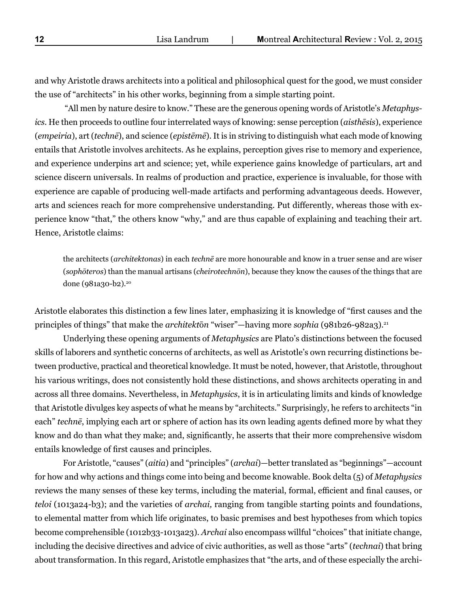and why Aristotle draws architects into a political and philosophical quest for the good, we must consider the use of "architects" in his other works, beginning from a simple starting point.

 "All men by nature desire to know." These are the generous opening words of Aristotle's *Metaphysics*. He then proceeds to outline four interrelated ways of knowing: sense perception (*aisthēsis*), experience (*empeiria*), art (*technē*), and science (*epistēmē*). It is in striving to distinguish what each mode of knowing entails that Aristotle involves architects. As he explains, perception gives rise to memory and experience, and experience underpins art and science; yet, while experience gains knowledge of particulars, art and science discern universals. In realms of production and practice, experience is invaluable, for those with experience are capable of producing well-made artifacts and performing advantageous deeds. However, arts and sciences reach for more comprehensive understanding. Put differently, whereas those with experience know "that," the others know "why," and are thus capable of explaining and teaching their art. Hence, Aristotle claims:

the architects (*architektonas*) in each *technē* are more honourable and know in a truer sense and are wiser (*sophōteros*) than the manual artisans (*cheirotechnōn*), because they know the causes of the things that are done (981a30-b2).<sup>20</sup>

Aristotle elaborates this distinction a few lines later, emphasizing it is knowledge of "first causes and the principles of things" that make the *architekton* "wiser"—having more *sophia* (981b26-982a3).<sup>21</sup>

Underlying these opening arguments of *Metaphysics* are Plato's distinctions between the focused skills of laborers and synthetic concerns of architects, as well as Aristotle's own recurring distinctions between productive, practical and theoretical knowledge. It must be noted, however, that Aristotle, throughout his various writings, does not consistently hold these distinctions, and shows architects operating in and across all three domains. Nevertheless, in *Metaphysics*, it is in articulating limits and kinds of knowledge that Aristotle divulges key aspects of what he means by "architects." Surprisingly, he refers to architects "in each" *technē*, implying each art or sphere of action has its own leading agents defined more by what they know and do than what they make; and, significantly, he asserts that their more comprehensive wisdom entails knowledge of first causes and principles.

For Aristotle, "causes" (*aitia*) and "principles" (*archai*)—better translated as "beginnings"—account for how and why actions and things come into being and become knowable. Book delta (5) of *Metaphysics*  reviews the many senses of these key terms, including the material, formal, efficient and final causes, or *teloi* (1013a24-b3); and the varieties of *archai,* ranging from tangible starting points and foundations, to elemental matter from which life originates, to basic premises and best hypotheses from which topics become comprehensible (1012b33-1013a23). *Archai* also encompass willful "choices" that initiate change, including the decisive directives and advice of civic authorities, as well as those "arts" (*technai*) that bring about transformation. In this regard, Aristotle emphasizes that "the arts, and of these especially the archi-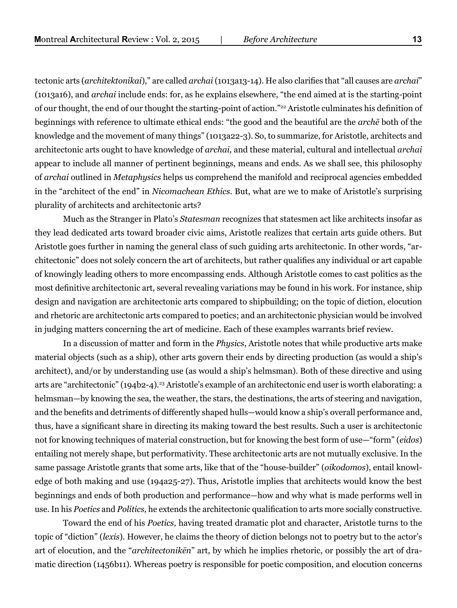tectonic arts (*architektonikai*)," are called *archai* (1013a13-14). He also clarifies that "all causes are *archai*" (1013a16), and *archai* include ends: for, as he explains elsewhere, "the end aimed at is the starting-point of our thought, the end of our thought the starting-point of action."22 Aristotle culminates his definition of beginnings with reference to ultimate ethical ends: "the good and the beautiful are the *archē* both of the knowledge and the movement of many things" (1013a22-3). So, to summarize, for Aristotle, architects and architectonic arts ought to have knowledge of *archai,* and these material, cultural and intellectual *archai*  appear to include all manner of pertinent beginnings, means and ends. As we shall see, this philosophy of *archai* outlined in *Metaphysics* helps us comprehend the manifold and reciprocal agencies embedded in the "architect of the end" in *Nicomachean Ethics.* But, what are we to make of Aristotle's surprising plurality of architects and architectonic arts?

Much as the Stranger in Plato's *Statesman* recognizes that statesmen act like architects insofar as they lead dedicated arts toward broader civic aims, Aristotle realizes that certain arts guide others. But Aristotle goes further in naming the general class of such guiding arts architectonic. In other words, "architectonic" does not solely concern the art of architects, but rather qualifies any individual or art capable of knowingly leading others to more encompassing ends. Although Aristotle comes to cast politics as the most definitive architectonic art, several revealing variations may be found in his work. For instance, ship design and navigation are architectonic arts compared to shipbuilding; on the topic of diction, elocution and rhetoric are architectonic arts compared to poetics; and an architectonic physician would be involved in judging matters concerning the art of medicine. Each of these examples warrants brief review.

In a discussion of matter and form in the *Physics*, Aristotle notes that while productive arts make material objects (such as a ship), other arts govern their ends by directing production (as would a ship's architect), and/or by understanding use (as would a ship's helmsman). Both of these directive and using arts are "architectonic" (194b2-4).23 Aristotle's example of an architectonic end user is worth elaborating: a helmsman—by knowing the sea, the weather, the stars, the destinations, the arts of steering and navigation, and the benefits and detriments of differently shaped hulls—would know a ship's overall performance and, thus, have a significant share in directing its making toward the best results. Such a user is architectonic not for knowing techniques of material construction, but for knowing the best form of use—"form" (*eidos*) entailing not merely shape, but performativity. These architectonic arts are not mutually exclusive. In the same passage Aristotle grants that some arts, like that of the "house-builder" (*oikodomos*), entail knowledge of both making and use (194a25-27). Thus, Aristotle implies that architects would know the best beginnings and ends of both production and performance—how and why what is made performs well in use. In his *Poetics* and *Politics,* he extends the architectonic qualification to arts more socially constructive.

Toward the end of his *Poetics,* having treated dramatic plot and character, Aristotle turns to the topic of "diction" (*lexis*). However, he claims the theory of diction belongs not to poetry but to the actor's art of elocution, and the "*architectonikēn*" art, by which he implies rhetoric, or possibly the art of dramatic direction (1456b11)*.* Whereas poetry is responsible for poetic composition, and elocution concerns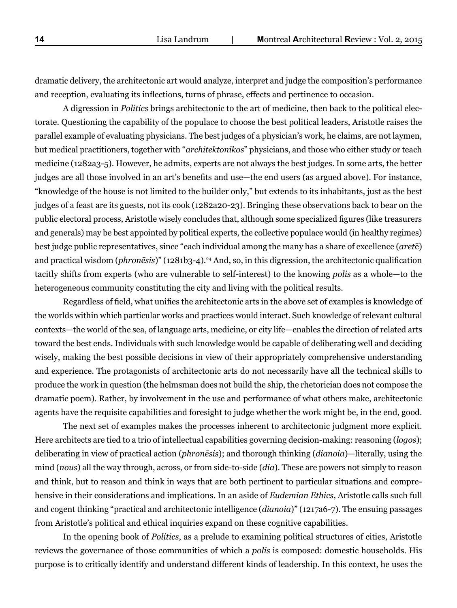dramatic delivery, the architectonic art would analyze, interpret and judge the composition's performance and reception, evaluating its inflections, turns of phrase, effects and pertinence to occasion.

A digression in *Politics* brings architectonic to the art of medicine, then back to the political electorate. Questioning the capability of the populace to choose the best political leaders, Aristotle raises the parallel example of evaluating physicians. The best judges of a physician's work, he claims, are not laymen, but medical practitioners, together with "*architektonikos*" physicians, and those who either study or teach medicine (1282a3-5). However, he admits, experts are not always the best judges. In some arts, the better judges are all those involved in an art's benefits and use—the end users (as argued above). For instance, "knowledge of the house is not limited to the builder only," but extends to its inhabitants, just as the best judges of a feast are its guests, not its cook (1282a20-23). Bringing these observations back to bear on the public electoral process, Aristotle wisely concludes that, although some specialized figures (like treasurers and generals) may be best appointed by political experts, the collective populace would (in healthy regimes) best judge public representatives, since "each individual among the many has a share of excellence (*aret*ē) and practical wisdom (*phronēsis*)" (1281b<sub>3</sub>-4).<sup>24</sup> And, so, in this digression, the architectonic qualification tacitly shifts from experts (who are vulnerable to self-interest) to the knowing *polis* as a whole—to the heterogeneous community constituting the city and living with the political results.

Regardless of field, what unifies the architectonic arts in the above set of examples is knowledge of the worlds within which particular works and practices would interact. Such knowledge of relevant cultural contexts—the world of the sea, of language arts, medicine, or city life—enables the direction of related arts toward the best ends. Individuals with such knowledge would be capable of deliberating well and deciding wisely, making the best possible decisions in view of their appropriately comprehensive understanding and experience. The protagonists of architectonic arts do not necessarily have all the technical skills to produce the work in question (the helmsman does not build the ship, the rhetorician does not compose the dramatic poem). Rather, by involvement in the use and performance of what others make, architectonic agents have the requisite capabilities and foresight to judge whether the work might be, in the end, good.

The next set of examples makes the processes inherent to architectonic judgment more explicit. Here architects are tied to a trio of intellectual capabilities governing decision-making: reasoning (*logos*); deliberating in view of practical action (*phronēsis*); and thorough thinking (*dianoia*)—literally, using the mind (*nous*) all the way through, across, or from side-to-side (*dia*). These are powers not simply to reason and think, but to reason and think in ways that are both pertinent to particular situations and comprehensive in their considerations and implications. In an aside of *Eudemian Ethics*, Aristotle calls such full and cogent thinking "practical and architectonic intelligence (*dianoia*)" (1217a6-7). The ensuing passages from Aristotle's political and ethical inquiries expand on these cognitive capabilities.

In the opening book of *Politics*, as a prelude to examining political structures of cities, Aristotle reviews the governance of those communities of which a *polis* is composed: domestic households. His purpose is to critically identify and understand different kinds of leadership. In this context, he uses the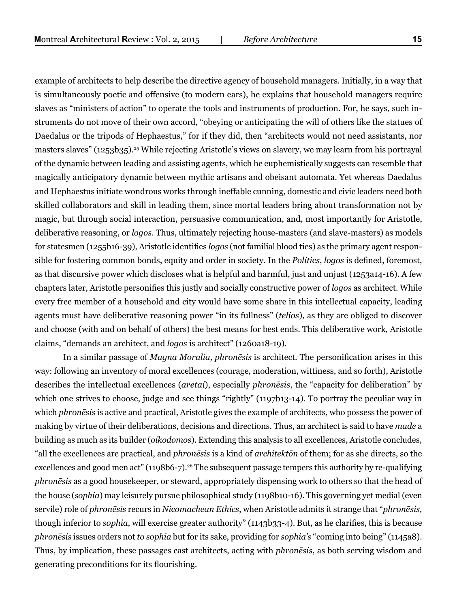example of architects to help describe the directive agency of household managers. Initially, in a way that is simultaneously poetic and offensive (to modern ears), he explains that household managers require slaves as "ministers of action" to operate the tools and instruments of production. For, he says, such instruments do not move of their own accord, "obeying or anticipating the will of others like the statues of Daedalus or the tripods of Hephaestus," for if they did, then "architects would not need assistants, nor masters slaves" (1253b35).25 While rejecting Aristotle's views on slavery, we may learn from his portrayal of the dynamic between leading and assisting agents, which he euphemistically suggests can resemble that magically anticipatory dynamic between mythic artisans and obeisant automata. Yet whereas Daedalus and Hephaestus initiate wondrous works through ineffable cunning, domestic and civic leaders need both skilled collaborators and skill in leading them, since mortal leaders bring about transformation not by magic, but through social interaction, persuasive communication, and, most importantly for Aristotle, deliberative reasoning, or *logos*. Thus, ultimately rejecting house-masters (and slave-masters) as models for statesmen (1255b16-39), Aristotle identifies *logos* (not familial blood ties) as the primary agent responsible for fostering common bonds, equity and order in society. In the *Politics*, *logos* is defined, foremost, as that discursive power which discloses what is helpful and harmful, just and unjust (1253a14-16). A few chapters later*,* Aristotle personifies this justly and socially constructive power of *logos* as architect. While every free member of a household and city would have some share in this intellectual capacity, leading agents must have deliberative reasoning power "in its fullness" (*telios*), as they are obliged to discover and choose (with and on behalf of others) the best means for best ends. This deliberative work, Aristotle claims, "demands an architect, and *logos* is architect" (1260a18-19).

In a similar passage of *Magna Moralia, phronēsis* is architect. The personification arises in this way: following an inventory of moral excellences (courage, moderation, wittiness, and so forth), Aristotle describes the intellectual excellences (*aretai*), especially *phronēsis*, the "capacity for deliberation" by which one strives to choose, judge and see things "rightly" (1197b13-14). To portray the peculiar way in which *phronēsis* is active and practical, Aristotle gives the example of architects, who possess the power of making by virtue of their deliberations, decisions and directions. Thus, an architect is said to have *made* a building as much as its builder (*oikodomos*). Extending this analysis to all excellences, Aristotle concludes, "all the excellences are practical, and *phronēsis* is a kind of *architektōn* of them; for as she directs, so the excellences and good men act" (1198b6-7).<sup>26</sup> The subsequent passage tempers this authority by re-qualifying *phronēsis* as a good housekeeper, or steward, appropriately dispensing work to others so that the head of the house (*sophia*) may leisurely pursue philosophical study (1198b10-16). This governing yet medial (even servile) role of *phronēsis* recurs in *Nicomachean Ethics*, when Aristotle admits it strange that "*phronēsis,*  though inferior to *sophia*, will exercise greater authority" (1143b33-4). But, as he clarifies, this is because *phronēsis* issues orders not *to sophia* but for its sake, providing for *sophia's* "coming into being" (1145a8). Thus, by implication, these passages cast architects, acting with *phronēsis*, as both serving wisdom and generating preconditions for its flourishing.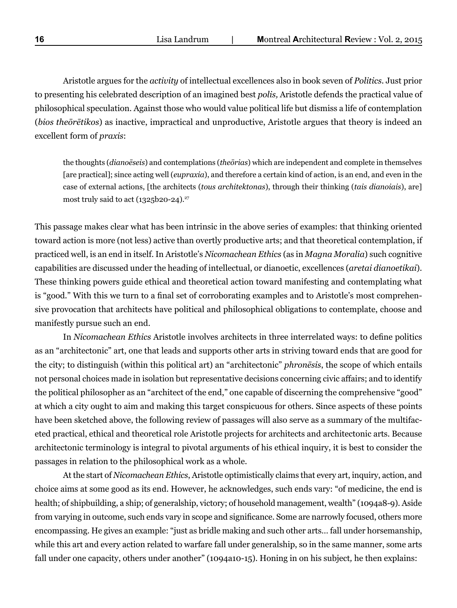Aristotle argues for the *activity* of intellectual excellences also in book seven of *Politics.* Just prior to presenting his celebrated description of an imagined best *polis,* Aristotle defends the practical value of philosophical speculation. Against those who would value political life but dismiss a life of contemplation (*bios theōrētikos*) as inactive, impractical and unproductive, Aristotle argues that theory is indeed an excellent form of *praxis*:

the thoughts (*dianoēseis*) and contemplations (*theōrias*) which are independent and complete in themselves [are practical]; since acting well (*eupraxia*), and therefore a certain kind of action, is an end, and even in the case of external actions, [the architects (*tous architektonas*), through their thinking (*tais dianoiais*), are] most truly said to act  $(1325b20-24).$ <sup>27</sup>

This passage makes clear what has been intrinsic in the above series of examples: that thinking oriented toward action is more (not less) active than overtly productive arts; and that theoretical contemplation, if practiced well, is an end in itself. In Aristotle's *Nicomachean Ethics* (as in *Magna Moralia*) such cognitive capabilities are discussed under the heading of intellectual, or dianoetic, excellences (*aretai dianoetikai*). These thinking powers guide ethical and theoretical action toward manifesting and contemplating what is "good." With this we turn to a final set of corroborating examples and to Aristotle's most comprehensive provocation that architects have political and philosophical obligations to contemplate, choose and manifestly pursue such an end.

In *Nicomachean Ethics* Aristotle involves architects in three interrelated ways: to define politics as an "architectonic" art, one that leads and supports other arts in striving toward ends that are good for the city; to distinguish (within this political art) an "architectonic" *phronēsis*, the scope of which entails not personal choices made in isolation but representative decisions concerning civic affairs; and to identify the political philosopher as an "architect of the end," one capable of discerning the comprehensive "good" at which a city ought to aim and making this target conspicuous for others. Since aspects of these points have been sketched above, the following review of passages will also serve as a summary of the multifaceted practical, ethical and theoretical role Aristotle projects for architects and architectonic arts. Because architectonic terminology is integral to pivotal arguments of his ethical inquiry, it is best to consider the passages in relation to the philosophical work as a whole.

At the start of *Nicomachean Ethics*, Aristotle optimistically claims that every art, inquiry, action, and choice aims at some good as its end. However, he acknowledges, such ends vary: "of medicine, the end is health; of shipbuilding, a ship; of generalship, victory; of household management, wealth" (1094a8-9). Aside from varying in outcome, such ends vary in scope and significance. Some are narrowly focused, others more encompassing. He gives an example: "just as bridle making and such other arts… fall under horsemanship, while this art and every action related to warfare fall under generalship, so in the same manner, some arts fall under one capacity, others under another" (1094a10-15). Honing in on his subject*,* he then explains: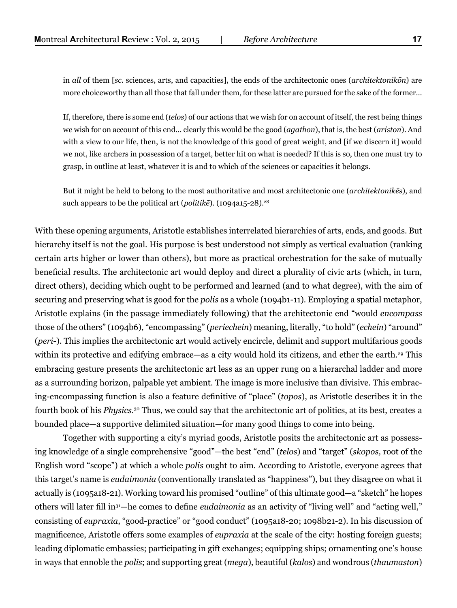in *all* of them [*sc.* sciences, arts, and capacities], the ends of the architectonic ones (*architektonikōn*) are more choiceworthy than all those that fall under them, for these latter are pursued for the sake of the former…

If, therefore, there is some end (*telos*) of our actions that we wish for on account of itself, the rest being things we wish for on account of this end… clearly this would be the good (*agathon*), that is, the best (*ariston*). And with a view to our life, then, is not the knowledge of this good of great weight, and [if we discern it] would we not, like archers in possession of a target, better hit on what is needed? If this is so, then one must try to grasp, in outline at least, whatever it is and to which of the sciences or capacities it belongs.

But it might be held to belong to the most authoritative and most architectonic one (*architektonikēs*), and such appears to be the political art (*politike*). (1094a15-28).<sup>28</sup>

With these opening arguments, Aristotle establishes interrelated hierarchies of arts, ends, and goods. But hierarchy itself is not the goal. His purpose is best understood not simply as vertical evaluation (ranking certain arts higher or lower than others), but more as practical orchestration for the sake of mutually beneficial results. The architectonic art would deploy and direct a plurality of civic arts (which, in turn, direct others), deciding which ought to be performed and learned (and to what degree), with the aim of securing and preserving what is good for the *polis* as a whole (1094b1-11)*.* Employing a spatial metaphor, Aristotle explains (in the passage immediately following) that the architectonic end "would *encompass* those of the others" (1094b6), "encompassing" (*periechein*) meaning, literally, "to hold" (*echein*) "around" (*peri*-). This implies the architectonic art would actively encircle, delimit and support multifarious goods within its protective and edifying embrace—as a city would hold its citizens, and ether the earth.<sup>29</sup> This embracing gesture presents the architectonic art less as an upper rung on a hierarchal ladder and more as a surrounding horizon, palpable yet ambient. The image is more inclusive than divisive. This embracing-encompassing function is also a feature definitive of "place" (*topos*), as Aristotle describes it in the fourth book of his *Physics*. 30 Thus, we could say that the architectonic art of politics, at its best, creates a bounded place—a supportive delimited situation—for many good things to come into being.

Together with supporting a city's myriad goods, Aristotle posits the architectonic art as possessing knowledge of a single comprehensive "good"—the best "end" (*telos*) and "target" (*skopos,* root of the English word "scope") at which a whole *polis* ought to aim. According to Aristotle, everyone agrees that this target's name is *eudaimonia* (conventionally translated as "happiness"), but they disagree on what it actually is (1095a18-21). Working toward his promised "outline" of this ultimate good—a "sketch" he hopes others will later fill in<sup>31</sup>—he comes to define *eudaimonia* as an activity of "living well" and "acting well," consisting of *eupraxia*, "good-practice" or "good conduct" (1095a18-20; 1098b21-2). In his discussion of magnificence, Aristotle offers some examples of *eupraxia* at the scale of the city: hosting foreign guests; leading diplomatic embassies; participating in gift exchanges; equipping ships; ornamenting one's house in ways that ennoble the *polis*; and supporting great (*mega*), beautiful (*kalos*) and wondrous (*thaumaston*)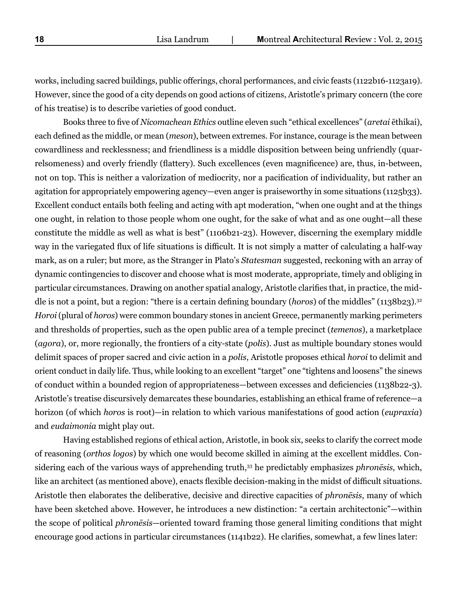works, including sacred buildings, public offerings, choral performances, and civic feasts (1122b16-1123a19). However, since the good of a city depends on good actions of citizens, Aristotle's primary concern (the core of his treatise) is to describe varieties of good conduct.

Books three to five of *Nicomachean Ethics* outline eleven such "ethical excellences" (*aretai* ēthikai), each defined as the middle, or mean (*meson*), between extremes. For instance, courage is the mean between cowardliness and recklessness; and friendliness is a middle disposition between being unfriendly (quarrelsomeness) and overly friendly (flattery). Such excellences (even magnificence) are, thus, in-between, not on top. This is neither a valorization of mediocrity, nor a pacification of individuality, but rather an agitation for appropriately empowering agency—even anger is praiseworthy in some situations (1125b33). Excellent conduct entails both feeling and acting with apt moderation, "when one ought and at the things one ought, in relation to those people whom one ought, for the sake of what and as one ought—all these constitute the middle as well as what is best" (1106b21-23). However, discerning the exemplary middle way in the variegated flux of life situations is difficult. It is not simply a matter of calculating a half-way mark, as on a ruler; but more, as the Stranger in Plato's *Statesman* suggested, reckoning with an array of dynamic contingencies to discover and choose what is most moderate, appropriate, timely and obliging in particular circumstances. Drawing on another spatial analogy, Aristotle clarifies that, in practice, the middle is not a point, but a region: "there is a certain defining boundary (*horos*) of the middles" (1138b23).32 *Horoi* (plural of *horos*) were common boundary stones in ancient Greece, permanently marking perimeters and thresholds of properties, such as the open public area of a temple precinct (*temenos*), a marketplace (*agora*), or, more regionally, the frontiers of a city-state (*polis*). Just as multiple boundary stones would delimit spaces of proper sacred and civic action in a *polis*, Aristotle proposes ethical *horoi* to delimit and orient conduct in daily life. Thus, while looking to an excellent "target" one "tightens and loosens" the sinews of conduct within a bounded region of appropriateness—between excesses and deficiencies (1138b22-3). Aristotle's treatise discursively demarcates these boundaries, establishing an ethical frame of reference—a horizon (of which *horos* is root)—in relation to which various manifestations of good action (*eupraxia*) and *eudaimonia* might play out.

Having established regions of ethical action, Aristotle, in book six, seeks to clarify the correct mode of reasoning (*orthos logos*) by which one would become skilled in aiming at the excellent middles. Considering each of the various ways of apprehending truth,33 he predictably emphasizes *phronēsis*, which, like an architect (as mentioned above), enacts flexible decision-making in the midst of difficult situations. Aristotle then elaborates the deliberative, decisive and directive capacities of *phronēsis*, many of which have been sketched above. However, he introduces a new distinction: "a certain architectonic"—within the scope of political *phronēsis*—oriented toward framing those general limiting conditions that might encourage good actions in particular circumstances (1141b22). He clarifies, somewhat, a few lines later: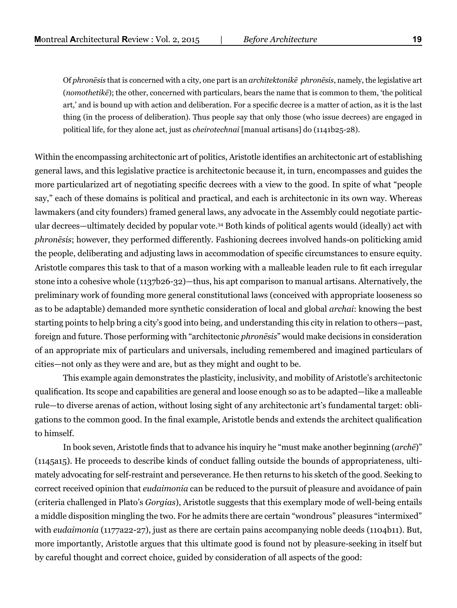Of *phronēsis* that is concerned with a city, one part is an *architektonikē phronēsis*, namely, the legislative art (*nomothetikē*); the other, concerned with particulars, bears the name that is common to them, 'the political art,' and is bound up with action and deliberation. For a specific decree is a matter of action, as it is the last thing (in the process of deliberation). Thus people say that only those (who issue decrees) are engaged in political life, for they alone act, just as *cheirotechnai* [manual artisans] do (1141b25-28).

Within the encompassing architectonic art of politics, Aristotle identifies an architectonic art of establishing general laws, and this legislative practice is architectonic because it, in turn, encompasses and guides the more particularized art of negotiating specific decrees with a view to the good. In spite of what "people say," each of these domains is political and practical, and each is architectonic in its own way. Whereas lawmakers (and city founders) framed general laws, any advocate in the Assembly could negotiate particular decrees—ultimately decided by popular vote.34 Both kinds of political agents would (ideally) act with *phronēsis*; however, they performed differently. Fashioning decrees involved hands-on politicking amid the people, deliberating and adjusting laws in accommodation of specific circumstances to ensure equity. Aristotle compares this task to that of a mason working with a malleable leaden rule to fit each irregular stone into a cohesive whole (1137b26-32)—thus, his apt comparison to manual artisans. Alternatively, the preliminary work of founding more general constitutional laws (conceived with appropriate looseness so as to be adaptable) demanded more synthetic consideration of local and global *archai*: knowing the best starting points to help bring a city's good into being, and understanding this city in relation to others—past, foreign and future. Those performing with "architectonic *phronēsis*" would make decisions in consideration of an appropriate mix of particulars and universals, including remembered and imagined particulars of cities—not only as they were and are, but as they might and ought to be.

This example again demonstrates the plasticity, inclusivity, and mobility of Aristotle's architectonic qualification. Its scope and capabilities are general and loose enough so as to be adapted—like a malleable rule—to diverse arenas of action, without losing sight of any architectonic art's fundamental target: obligations to the common good. In the final example, Aristotle bends and extends the architect qualification to himself.

In book seven, Aristotle finds that to advance his inquiry he "must make another beginning (*archē*)" (1145a15). He proceeds to describe kinds of conduct falling outside the bounds of appropriateness, ultimately advocating for self-restraint and perseverance. He then returns to his sketch of the good. Seeking to correct received opinion that *eudaimonia* can be reduced to the pursuit of pleasure and avoidance of pain (criteria challenged in Plato's *Gorgias*), Aristotle suggests that this exemplary mode of well-being entails a middle disposition mingling the two. For he admits there are certain "wondrous" pleasures "intermixed" with *eudaimonia* (1177a22-27), just as there are certain pains accompanying noble deeds (1104b11). But, more importantly, Aristotle argues that this ultimate good is found not by pleasure-seeking in itself but by careful thought and correct choice, guided by consideration of all aspects of the good: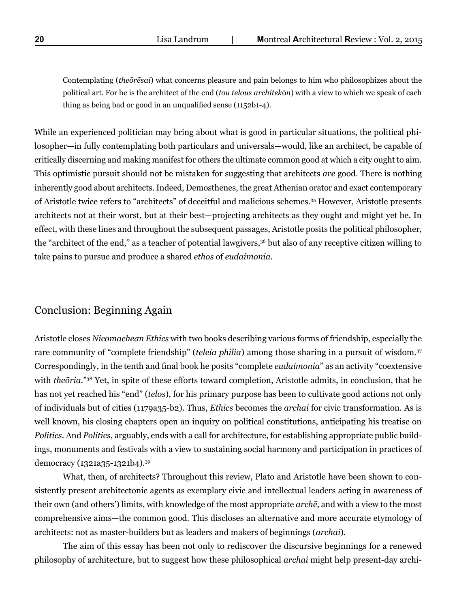Contemplating (*theōrēsai*) what concerns pleasure and pain belongs to him who philosophizes about the political art. For he is the architect of the end (*tou telous architek*ō*n*) with a view to which we speak of each thing as being bad or good in an unqualified sense (1152b1-4).

While an experienced politician may bring about what is good in particular situations, the political philosopher—in fully contemplating both particulars and universals—would, like an architect, be capable of critically discerning and making manifest for others the ultimate common good at which a city ought to aim. This optimistic pursuit should not be mistaken for suggesting that architects *are* good. There is nothing inherently good about architects. Indeed, Demosthenes, the great Athenian orator and exact contemporary of Aristotle twice refers to "architects" of deceitful and malicious schemes.35 However, Aristotle presents architects not at their worst, but at their best—projecting architects as they ought and might yet be. In effect, with these lines and throughout the subsequent passages, Aristotle posits the political philosopher, the "architect of the end," as a teacher of potential lawgivers,<sup>36</sup> but also of any receptive citizen willing to take pains to pursue and produce a shared *ethos* of *eudaimonia*.

## Conclusion: Beginning Again

Aristotle closes *Nicomachean Ethics* with two books describing various forms of friendship, especially the rare community of "complete friendship" (*teleia philia*) among those sharing in a pursuit of wisdom.37 Correspondingly, in the tenth and final book he posits "complete *eudaimonia*" as an activity "coextensive with *the*<sub>o</sub>ria."<sup>38</sup> Yet, in spite of these efforts toward completion, Aristotle admits, in conclusion, that he has not yet reached his "end" (*telos*), for his primary purpose has been to cultivate good actions not only of individuals but of cities (1179a35-b2). Thus, *Ethics* becomes the *archai* for civic transformation. As is well known, his closing chapters open an inquiry on political constitutions, anticipating his treatise on *Politics*. And *Politics*, arguably, ends with a call for architecture, for establishing appropriate public buildings, monuments and festivals with a view to sustaining social harmony and participation in practices of democracy (1321a35-1321b4).39

What, then, of architects? Throughout this review, Plato and Aristotle have been shown to consistently present architectonic agents as exemplary civic and intellectual leaders acting in awareness of their own (and others') limits, with knowledge of the most appropriate *archē*, and with a view to the most comprehensive aims—the common good. This discloses an alternative and more accurate etymology of architects: not as master-builders but as leaders and makers of beginnings (*archai*).

The aim of this essay has been not only to rediscover the discursive beginnings for a renewed philosophy of architecture, but to suggest how these philosophical *archai* might help present-day archi-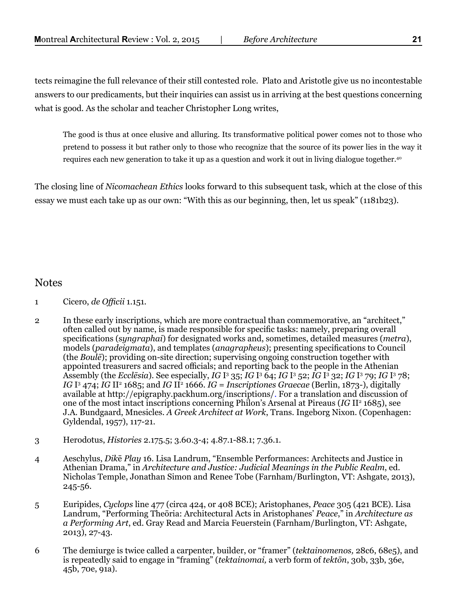tects reimagine the full relevance of their still contested role. Plato and Aristotle give us no incontestable answers to our predicaments, but their inquiries can assist us in arriving at the best questions concerning what is good. As the scholar and teacher Christopher Long writes,

The good is thus at once elusive and alluring. Its transformative political power comes not to those who pretend to possess it but rather only to those who recognize that the source of its power lies in the way it requires each new generation to take it up as a question and work it out in living dialogue together.40

The closing line of *Nicomachean Ethics* looks forward to this subsequent task, which at the close of this essay we must each take up as our own: "With this as our beginning, then, let us speak" (1181b23).

#### **Notes**

- 1 Cicero, *de Officii* 1.151.
- 2 In these early inscriptions, which are more contractual than commemorative, an "architect," often called out by name, is made responsible for specific tasks: namely, preparing overall specifications (s*yngraphai*) for designated works and, sometimes, detailed measures (*metra*), models (*paradeigmata*), and templates (*anagrapheus*); presenting specifications to Council (the *Boulē*); providing on-site direction; supervising ongoing construction together with appointed treasurers and sacred officials; and reporting back to the people in the Athenian Assembly (the *Ecclēsia*). See especially, *IG* I3 35; *IG* I3 64; *IG* I3 52; *IG* I3 32; *IG* I3 79; *IG* I3 78; *IG* I<sup>3</sup> 474; *IG* II<sup>2</sup> 1685; and *IG* II<sup>2</sup> 1666. *IG* = *Inscriptiones Graecae* (Berlin, 1873-), digitally available at [http://epigraphy.packhum.org/inscriptions/.](http://epigraphy.packhum.org/inscriptions/) For a translation and discussion of one of the most intact inscriptions concerning Philon's Arsenal at Pireaus (IG II<sup>2</sup> 1685), see J.A. Bundgaard, Mnesicles. *A Greek Architect at Work*, Trans. Ingeborg Nixon. (Copenhagen: Gyldendal, 1957), 117-21.
- 3 Herodotus, *Histories* 2.175.5; 3.60.3-4; 4.87.1-88.1; 7.36.1.
- 4 Aeschylus, *Dik*ē *Play* 16. Lisa Landrum, "Ensemble Performances: Architects and Justice in Athenian Drama," in *Architecture and Justice: Judicial Meanings in the Public Realm*, ed. Nicholas Temple, Jonathan Simon and Renee Tobe (Farnham/Burlington, VT: Ashgate, 2013), 245-56.
- 5 Euripides, *Cyclops* line 477 (circa 424, or 408 BCE); Aristophanes, *Peace* 305 (421 BCE). Lisa Landrum, "Performing Theōria: Architectural Acts in Aristophanes' *Peace*," in *Architecture as a Performing Art*, ed. Gray Read and Marcia Feuerstein (Farnham/Burlington, VT: Ashgate, 2013), 27-43.
- 6 The demiurge is twice called a carpenter, builder, or "framer" (*tektainomenos,* 28c6, 68e5), and is repeatedly said to engage in "framing" (*tektainomai,* a verb form of *tektōn*, 30b, 33b, 36e, 45b, 70e, 91a).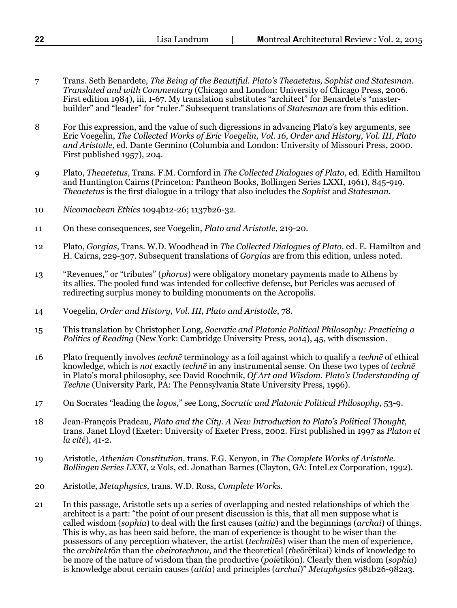- 7 Trans. Seth Benardete, *The Being of the Beautiful. Plato's Theaetetus, Sophist and Statesman. Translated and with Commentary* (Chicago and London: University of Chicago Press, 2006. First edition 1984), iii, 1-67. My translation substitutes "architect" for Benardete's "masterbuilder" and "leader" for "ruler." Subsequent translations of *Statesman* are from this edition.
- 8 For this expression, and the value of such digressions in advancing Plato's key arguments, see Eric Voegelin, *The Collected Works of Eric Voegelin, Vol. 16, Order and History, Vol. III, Plato and Aristotle,* ed. Dante Germino (Columbia and London: University of Missouri Press, 2000. First published 1957), 204.
- 9 Plato, *Theaetetus,* Trans. F.M. Cornford in *The Collected Dialogues of Plato,* ed. Edith Hamilton and Huntington Cairns (Princeton: Pantheon Books, Bollingen Series LXXI, 1961), 845-919. *Theaetetus* is the first dialogue in a trilogy that also includes the *Sophist* and *Statesman.*
- 10 *Nicomachean Ethics* 1094b12-26; 1137b26-32*.*
- 11 On these consequences, see Voegelin, *Plato and Aristotle*, 219-20.
- 12 Plato, *Gorgias,* Trans. W.D. Woodhead in *The Collected Dialogues of Plato,* ed. E. Hamilton and H. Cairns, 229-307. Subsequent translations of *Gorgias* are from this edition, unless noted.
- 13 "Revenues," or "tributes" (*phoros*) were obligatory monetary payments made to Athens by its allies. The pooled fund was intended for collective defense, but Pericles was accused of redirecting surplus money to building monuments on the Acropolis.
- 14 Voegelin, *Order and History, Vol. III, Plato and Aristotle*, 78.
- 15 This translation by Christopher Long, *Socratic and Platonic Political Philosophy: Practicing a Politics of Reading* (New York: Cambridge University Press, 2014), 45, with discussion.
- 16 Plato frequently involves *technē* terminology as a foil against which to qualify a *technē* of ethical knowledge, which is *not* exactly *technē* in any instrumental sense. On these two types of *technē*  in Plato's moral philosophy, see David Roochnik, *Of Art and Wisdom. Plato's Understanding of Techne* (University Park, PA: The Pennsylvania State University Press, 1996).
- 17 On Socrates "leading the *logos,*" see Long, *Socratic and Platonic Political Philosophy*, 53-9.
- 18 Jean-François Pradeau, *Plato and the City. A New Introduction to Plato's Political Thought,*  trans. Janet Lloyd (Exeter: University of Exeter Press, 2002. First published in 1997 as *Platon et la cité*), 41-2.
- 19 Aristotle, *Athenian Constitution,* trans. F.G. Kenyon, in *The Complete Works of Aristotle. Bollingen Series LXXI*, 2 Vols, ed. Jonathan Barnes (Clayton, GA: InteLex Corporation, 1992).
- 20 Aristotle, *Metaphysics,* trans. W.D. Ross, *Complete Works.*
- 21 In this passage, Aristotle sets up a series of overlapping and nested relationships of which the architect is a part: "the point of our present discussion is this, that all men suppose what is called wisdom (*sophia*) to deal with the first causes (*aitia*) and the beginnings (*archai*) of things. This is why, as has been said before, the man of experience is thought to be wiser than the possessors of any perception whatever, the artist (*technit*ē*s*) wiser than the men of experience, the *architekt*ō*n* than the *cheirotechnou*, and the theoretical (*the*ōrētikai) kinds of knowledge to be more of the nature of wisdom than the productive (*poi*ētikōn). Clearly then wisdom (*sophia*) is knowledge about certain causes (*aitia*) and principles (*archai*)" *Metaphysics* 981b26-982a3.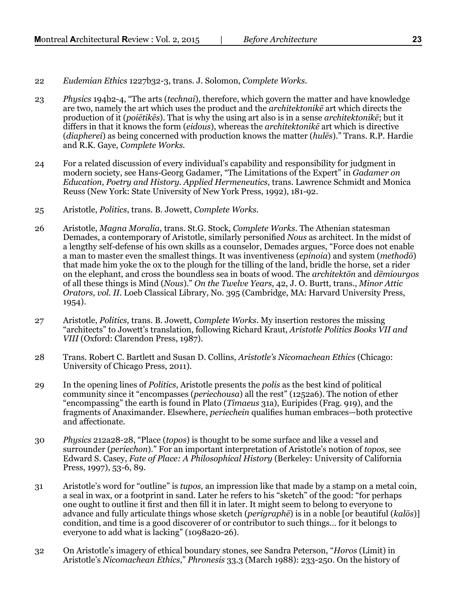- 22 *Eudemian Ethics* 1227b32-3, trans. J. Solomon, *Complete Works.*
- 23 *Physics* 194b2-4, "The arts (*technai*), therefore, which govern the matter and have knowledge are two, namely the art which uses the product and the *architektonikē* art which directs the production of it (*poiētikēs*). That is why the using art also is in a sense *architektonikē*; but it differs in that it knows the form (*eidous*), whereas the *architektonikē* art which is directive (*diapherei*) as being concerned with production knows the matter (*hulēs*)." Trans. R.P. Hardie and R.K. Gaye*, Complete Works.*
- 24 For a related discussion of every individual's capability and responsibility for judgment in modern society, see Hans-Georg Gadamer, "The Limitations of the Expert" in *Gadamer on Education, Poetry and History. Applied Hermeneutics,* trans. Lawrence Schmidt and Monica Reuss (New York: State University of New York Press, 1992), 181-92.
- 25 Aristotle, *Politics*, trans. B. Jowett, *Complete Works.*
- 26 Aristotle, *Magna Moralia*, trans. St.G. Stock, *Complete Works.* The Athenian statesman Demades, a contemporary of Aristotle, similarly personified *Nous* as architect. In the midst of a lengthy self-defense of his own skills as a counselor, Demades argues, "Force does not enable a man to master even the smallest things. It was inventiveness (*epinoia*) and system (*methodō*) that made him yoke the ox to the plough for the tilling of the land, bridle the horse, set a rider on the elephant, and cross the boundless sea in boats of wood. The *architektōn* and *dēmiourgos* of all these things is Mind (*Nous*)." *On the Twelve Years,* 42, J. O. Burtt, trans., *Minor Attic Orators, vol. II.* Loeb Classical Library, No. 395 (Cambridge, MA: Harvard University Press, 1954).
- 27 Aristotle, *Politics,* trans. B. Jowett*, Complete Works*. My insertion restores the missing "architects" to Jowett's translation, following Richard Kraut, *Aristotle Politics Books VII and VIII* (Oxford: Clarendon Press, 1987).
- 28 Trans. Robert C. Bartlett and Susan D. Collins, *Aristotle's Nicomachean Ethics* (Chicago: University of Chicago Press, 2011).
- 29 In the opening lines of *Politics,* Aristotle presents the *polis* as the best kind of political community since it "encompasses (*periechousa*) all the rest" (1252a6). The notion of ether "encompassing" the earth is found in Plato (*Timaeus* 31a), Euripides (Frag. 919), and the fragments of Anaximander. Elsewhere, *periechein* qualifies human embraces—both protective and affectionate.
- 30 *Physics* 212a28-28, "Place (*topos*) is thought to be some surface and like a vessel and surrounder (*periechon*)." For an important interpretation of Aristotle's notion of *topos,* see Edward S. Casey, *Fate of Place: A Philosophical History* (Berkeley: University of California Press, 1997), 53-6, 89.
- 31 Aristotle's word for "outline" is *tupos,* an impression like that made by a stamp on a metal coin, a seal in wax, or a footprint in sand. Later he refers to his "sketch" of the good: "for perhaps one ought to outline it first and then fill it in later. It might seem to belong to everyone to advance and fully articulate things whose sketch (*perigraphē*) is in a noble [or beautiful (*kalōs*)] condition, and time is a good discoverer of or contributor to such things… for it belongs to everyone to add what is lacking" (1098a20-26).
- 32 On Aristotle's imagery of ethical boundary stones, see Sandra Peterson, "*Horos* (Limit) in Aristotle's *Nicomachean Ethics*," *Phronesis* 33.3 (March 1988): 233-250. On the history of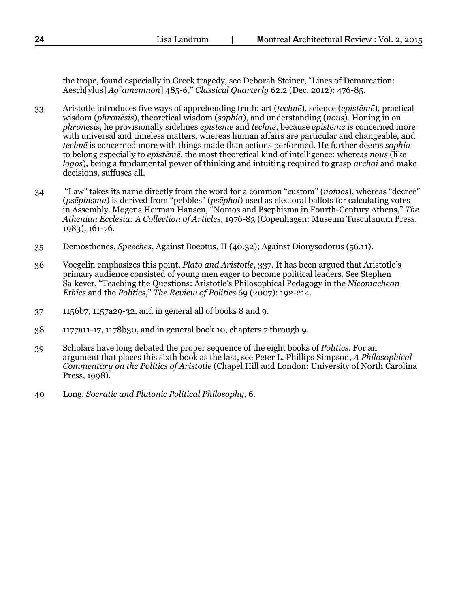the trope, found especially in Greek tragedy, see Deborah Steiner, "Lines of Demarcation: Aesch[ylus] *Ag*[*amemnon*] 485-6," *Classical Quarterly* 62.2 (Dec. 2012): 476-85.

- 33 Aristotle introduces five ways of apprehending truth: art (*technē*), science (*epistēmē*), practical wisdom (*phronēsis*), theoretical wisdom (*sophia*), and understanding (*nous*). Honing in on *phronēsis*, he provisionally sidelines *epistēmē* and *technē,* because *epistēmē* is concerned more with universal and timeless matters, whereas human affairs are particular and changeable, and *technē* is concerned more with things made than actions performed. He further deems *sophia* to belong especially to *epistēmē*, the most theoretical kind of intelligence; whereas *nous* (like *logos*)*,* being a fundamental power of thinking and intuiting required to grasp *archai* and make decisions, suffuses all.
- 34 "Law" takes its name directly from the word for a common "custom" (*nomos*), whereas "decree" (*psēphisma*) is derived from "pebbles" (*psēphoi*) used as electoral ballots for calculating votes in Assembly. Mogens Herman Hansen, "Nomos and Psephisma in Fourth-Century Athens," *The Athenian Ecclesia: A Collection of Articles,* 1976-83 (Copenhagen: Museum Tusculanum Press, 1983), 161-76.
- 35 Demosthenes, *Speeches*, Against Boeotus, II (40.32); Against Dionysodorus (56.11).
- 36 Voegelin emphasizes this point, *Plato and Aristotle*, 337. It has been argued that Aristotle's primary audience consisted of young men eager to become political leaders. See Stephen Salkever, "Teaching the Questions: Aristotle's Philosophical Pedagogy in the *Nicomachean Ethics* and the *Politics,*" *The Review of Politics* 69 (2007): 192-214.
- 37 1156b7, 1157a29-32, and in general all of books 8 and 9.
- 38 1177a11-17, 1178b30, and in general book 10, chapters 7 through 9.
- 39 Scholars have long debated the proper sequence of the eight books of *Politics*. For an argument that places this sixth book as the last, see Peter L. Phillips Simpson, *A Philosophical Commentary on the Politics of Aristotle* (Chapel Hill and London: University of North Carolina Press, 1998).
- 40 Long, *Socratic and Platonic Political Philosophy,* 6.